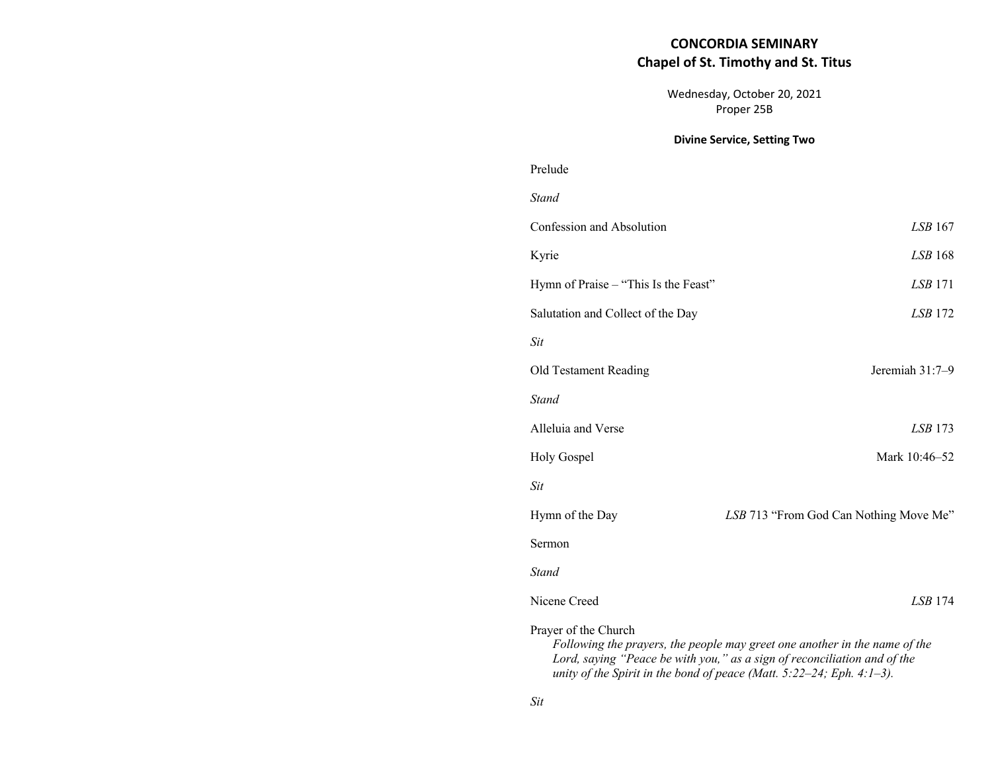# **CONCORDIA SEMINARY Chapel of St. Timothy and St. Titus**

Wednesday, October 20, 2021 Proper 25B

### **Divine Service, Setting Two**

# Prelude *Stand*

| Confession and Absolution                                                                                                                                                                                                                                     | <i>LSB</i> 167                         |
|---------------------------------------------------------------------------------------------------------------------------------------------------------------------------------------------------------------------------------------------------------------|----------------------------------------|
| Kyrie                                                                                                                                                                                                                                                         | LSB 168                                |
| Hymn of Praise – "This Is the Feast"                                                                                                                                                                                                                          | $LSB$ 171                              |
| Salutation and Collect of the Day                                                                                                                                                                                                                             | <i>LSB</i> 172                         |
| <b>Sit</b>                                                                                                                                                                                                                                                    |                                        |
| Old Testament Reading                                                                                                                                                                                                                                         | Jeremiah 31:7-9                        |
| <b>Stand</b>                                                                                                                                                                                                                                                  |                                        |
| Alleluia and Verse                                                                                                                                                                                                                                            | $LSB$ 173                              |
| Holy Gospel                                                                                                                                                                                                                                                   | Mark 10:46-52                          |
| <b>Sit</b>                                                                                                                                                                                                                                                    |                                        |
| Hymn of the Day                                                                                                                                                                                                                                               | LSB 713 "From God Can Nothing Move Me" |
| Sermon                                                                                                                                                                                                                                                        |                                        |
| <b>Stand</b>                                                                                                                                                                                                                                                  |                                        |
| Nicene Creed                                                                                                                                                                                                                                                  | <i>LSB</i> 174                         |
| Prayer of the Church<br>Following the prayers, the people may greet one another in the name of the<br>Lord, saying "Peace be with you," as a sign of reconciliation and of the<br>unity of the Spirit in the bond of peace (Matt. $5:22-24$ ; Eph. $4:1-3$ ). |                                        |